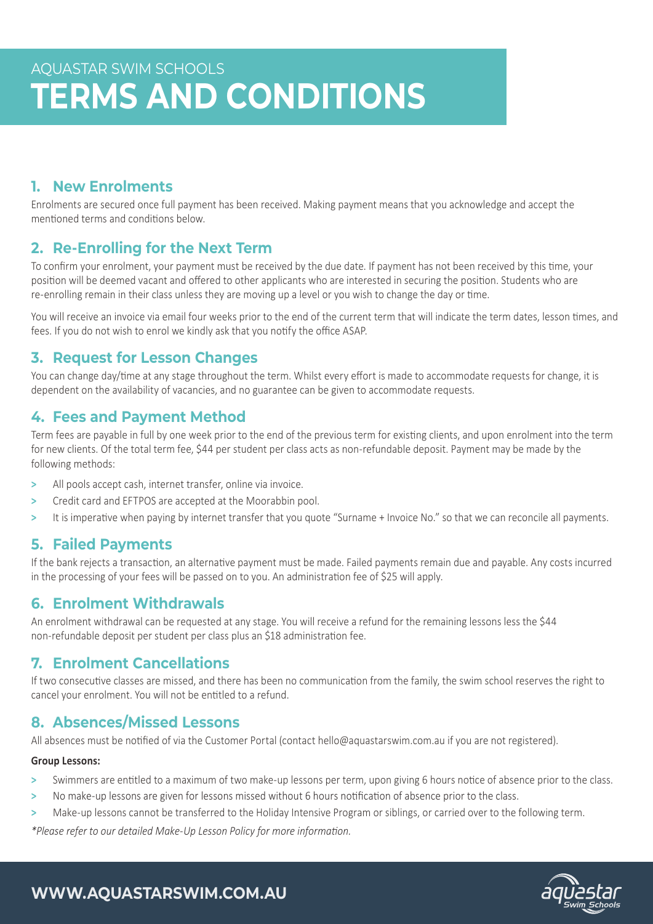## **1. New Enrolments**

Enrolments are secured once full payment has been received. Making payment means that you acknowledge and accept the mentioned terms and conditions below.

# **2. Re-Enrolling for the Next Term**

To confirm your enrolment, your payment must be received by the due date. If payment has not been received by this time, your position will be deemed vacant and offered to other applicants who are interested in securing the position. Students who are re-enrolling remain in their class unless they are moving up a level or you wish to change the day or time.

You will receive an invoice via email four weeks prior to the end of the current term that will indicate the term dates, lesson times, and fees. If you do not wish to enrol we kindly ask that you notify the office ASAP.

# **3. Request for Lesson Changes**

You can change day/time at any stage throughout the term. Whilst every effort is made to accommodate requests for change, it is dependent on the availability of vacancies, and no guarantee can be given to accommodate requests.

## **4. Fees and Payment Method**

Term fees are payable in full by one week prior to the end of the previous term for existing clients, and upon enrolment into the term for new clients. Of the total term fee, \$44 per student per class acts as non-refundable deposit. Payment may be made by the following methods:

- **>** All pools accept cash, internet transfer, online via invoice.
- **>** Credit card and EFTPOS are accepted at the Moorabbin pool.
- **>** It is imperative when paying by internet transfer that you quote "Surname + Invoice No." so that we can reconcile all payments.

## **5. Failed Payments**

If the bank rejects a transaction, an alternative payment must be made. Failed payments remain due and payable. Any costs incurred in the processing of your fees will be passed on to you. An administration fee of \$25 will apply.

## **6. Enrolment Withdrawals**

An enrolment withdrawal can be requested at any stage. You will receive a refund for the remaining lessons less the \$44 non-refundable deposit per student per class plus an \$18 administration fee.

## **7. Enrolment Cancellations**

If two consecutive classes are missed, and there has been no communication from the family, the swim school reserves the right to cancel your enrolment. You will not be entitled to a refund.

## **8. Absences/Missed Lessons**

All absences must be notified of via the Customer Portal (contact hello@aquastarswim.com.au if you are not registered).

### **Group Lessons:**

- **>** Swimmers are entitled to a maximum of two make-up lessons per term, upon giving 6 hours notice of absence prior to the class.
- **>** No make-up lessons are given for lessons missed without 6 hours notification of absence prior to the class.
- **>** Make-up lessons cannot be transferred to the Holiday Intensive Program or siblings, or carried over to the following term.

*\*Please refer to our detailed Make-Up Lesson Policy for more information.*